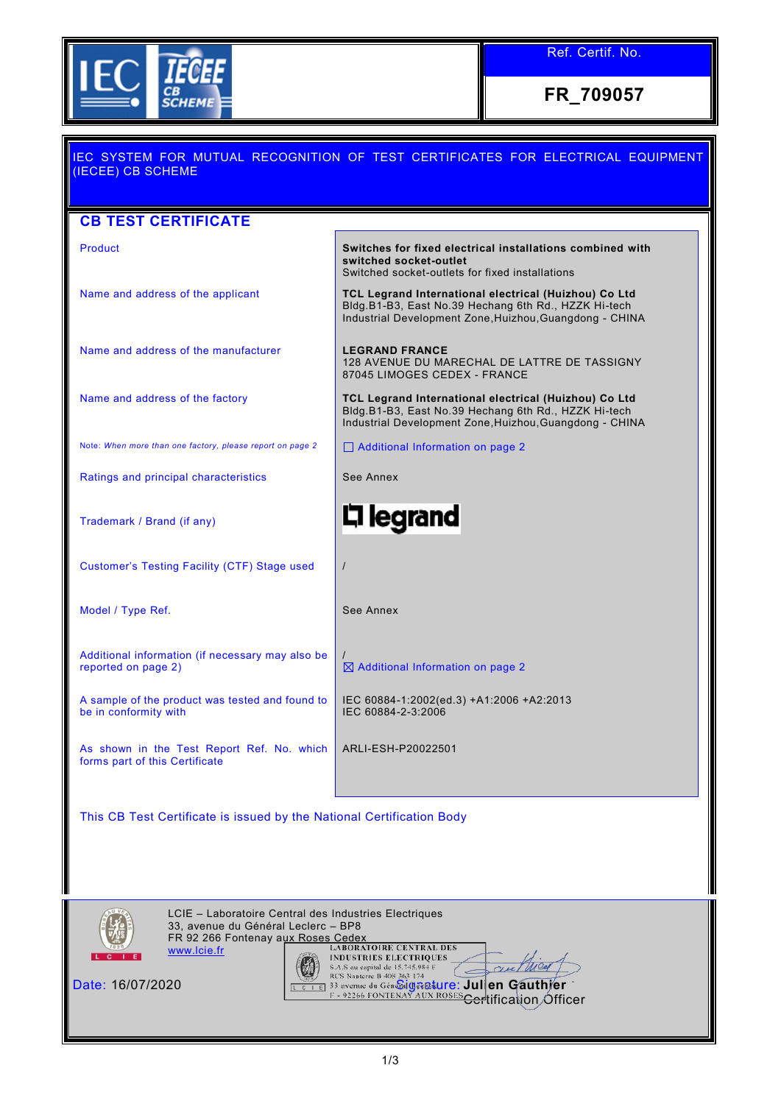

Ref. Certif. No.

**FR\_709057**

| IEC SYSTEM FOR MUTUAL RECOGNITION OF TEST CERTIFICATES FOR ELECTRICAL EQUIPMENT<br>(IECEE) CB SCHEME |                                                                                                                                                                          |  |  |  |
|------------------------------------------------------------------------------------------------------|--------------------------------------------------------------------------------------------------------------------------------------------------------------------------|--|--|--|
|                                                                                                      |                                                                                                                                                                          |  |  |  |
| <b>CB TEST CERTIFICATE</b>                                                                           |                                                                                                                                                                          |  |  |  |
| Product                                                                                              | Switches for fixed electrical installations combined with<br>switched socket-outlet<br>Switched socket-outlets for fixed installations                                   |  |  |  |
| Name and address of the applicant                                                                    | TCL Legrand International electrical (Huizhou) Co Ltd<br>Bldg.B1-B3, East No.39 Hechang 6th Rd., HZZK Hi-tech<br>Industrial Development Zone, Huizhou, Guangdong - CHINA |  |  |  |
| Name and address of the manufacturer                                                                 | <b>LEGRAND FRANCE</b><br>128 AVENUE DU MARECHAL DE LATTRE DE TASSIGNY<br>87045 LIMOGES CEDEX - FRANCE                                                                    |  |  |  |
| Name and address of the factory                                                                      | TCL Legrand International electrical (Huizhou) Co Ltd<br>Bldg.B1-B3, East No.39 Hechang 6th Rd., HZZK Hi-tech<br>Industrial Development Zone, Huizhou, Guangdong - CHINA |  |  |  |
| Note: When more than one factory, please report on page 2                                            | $\Box$ Additional Information on page 2                                                                                                                                  |  |  |  |
| Ratings and principal characteristics                                                                | See Annex                                                                                                                                                                |  |  |  |
| Trademark / Brand (if any)                                                                           | 디 legrand                                                                                                                                                                |  |  |  |
| Customer's Testing Facility (CTF) Stage used                                                         |                                                                                                                                                                          |  |  |  |
| Model / Type Ref.                                                                                    | See Annex                                                                                                                                                                |  |  |  |
| Additional information (if necessary may also be<br>reported on page 2)                              | $\boxtimes$ Additional Information on page 2                                                                                                                             |  |  |  |
| A sample of the product was tested and found to<br>be in conformity with                             | IEC 60884-1:2002(ed.3) +A1:2006 +A2:2013<br>IEC 60884-2-3:2006                                                                                                           |  |  |  |
| As shown in the Test Report Ref. No. which<br>forms part of this Certificate                         | ARLI-ESH-P20022501                                                                                                                                                       |  |  |  |
| This CB Test Certificate is issued by the National Certification Body                                |                                                                                                                                                                          |  |  |  |



LCIE – Laboratoire Central des Industries Electriques 33, avenue du Général Leclerc – BP8 FR 92 266 Fontenay aux Roses Cedex [www.lcie.fr](http://www.lcie.fr/) Date: 16/07/2020 Signature: **Julien Gauthier**

<del>Cer</del>tification Officer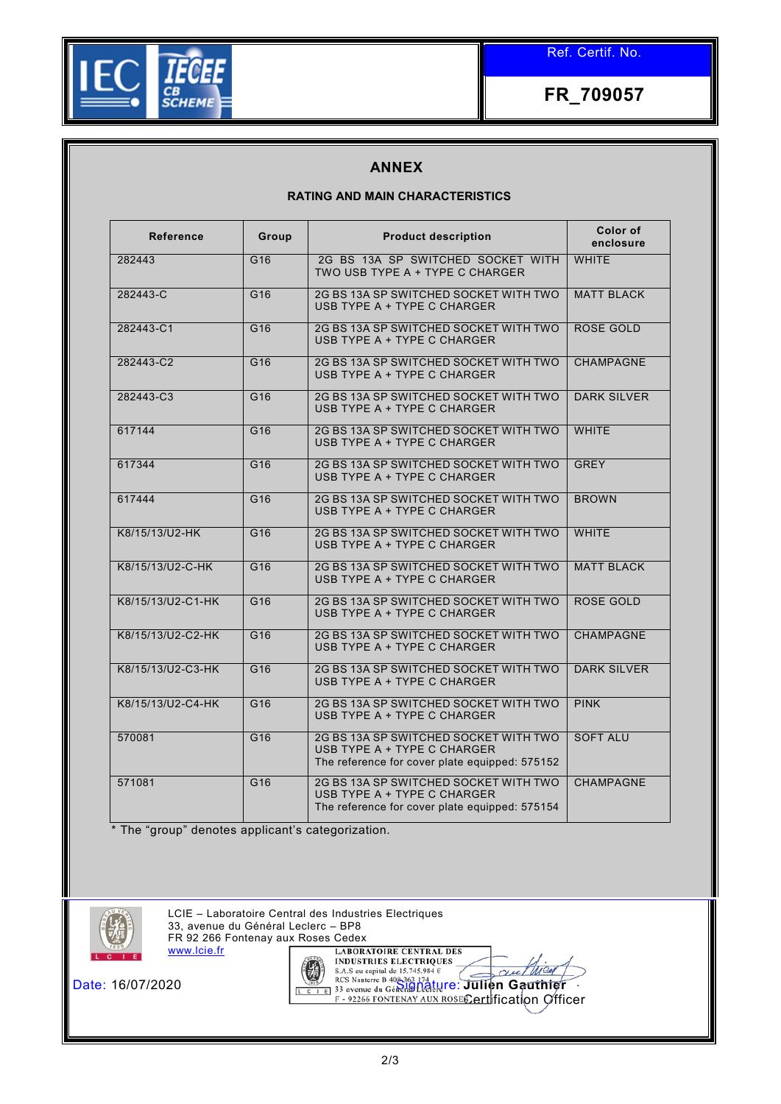

**FR\_709057**

## **ANNEX**

## **RATING AND MAIN CHARACTERISTICS**

| <b>Reference</b>  | Group           | <b>Product description</b>                                                                                             | Color of<br>enclosure |
|-------------------|-----------------|------------------------------------------------------------------------------------------------------------------------|-----------------------|
| 282443            | G16             | 2G BS 13A SP SWITCHED SOCKET WITH<br>TWO USB TYPE A + TYPE C CHARGER                                                   | <b>WHITE</b>          |
| 282443-C          | G16             | 2G BS 13A SP SWITCHED SOCKET WITH TWO<br>USB TYPE A + TYPE C CHARGER                                                   | <b>MATT BLACK</b>     |
| 282443-C1         | G16             | 2G BS 13A SP SWITCHED SOCKET WITH TWO<br>USB TYPE A + TYPE C CHARGER                                                   | ROSE GOLD             |
| 282443-C2         | G16             | 2G BS 13A SP SWITCHED SOCKET WITH TWO<br>USB TYPE A + TYPE C CHARGER                                                   | <b>CHAMPAGNE</b>      |
| 282443-C3         | G <sub>16</sub> | 2G BS 13A SP SWITCHED SOCKET WITH TWO<br>USB TYPE A + TYPE C CHARGER                                                   | <b>DARK SILVER</b>    |
| 617144            | G <sub>16</sub> | 2G BS 13A SP SWITCHED SOCKET WITH TWO<br>USB TYPE A + TYPE C CHARGER                                                   | <b>WHITE</b>          |
| 617344            | G <sub>16</sub> | 2G BS 13A SP SWITCHED SOCKET WITH TWO<br>USB TYPE A + TYPE C CHARGER                                                   | <b>GREY</b>           |
| 617444            | G16             | 2G BS 13A SP SWITCHED SOCKET WITH TWO<br>USB TYPE A + TYPE C CHARGER                                                   | <b>BROWN</b>          |
| K8/15/13/U2-HK    | G16             | 2G BS 13A SP SWITCHED SOCKET WITH TWO<br>USB TYPE A + TYPE C CHARGER                                                   | <b>WHITE</b>          |
| K8/15/13/U2-C-HK  | G16             | 2G BS 13A SP SWITCHED SOCKET WITH TWO<br>USB TYPE A + TYPE C CHARGER                                                   | <b>MATT BLACK</b>     |
| K8/15/13/U2-C1-HK | G <sub>16</sub> | 2G BS 13A SP SWITCHED SOCKET WITH TWO<br>USB TYPE A + TYPE C CHARGER                                                   | ROSE GOLD             |
| K8/15/13/U2-C2-HK | G <sub>16</sub> | 2G BS 13A SP SWITCHED SOCKET WITH TWO<br>USB TYPE A + TYPE C CHARGER                                                   | <b>CHAMPAGNE</b>      |
| K8/15/13/U2-C3-HK | G16             | 2G BS 13A SP SWITCHED SOCKET WITH TWO<br>USB TYPE A + TYPE C CHARGER                                                   | <b>DARK SILVER</b>    |
| K8/15/13/U2-C4-HK | G16             | 2G BS 13A SP SWITCHED SOCKET WITH TWO<br>USB TYPE A + TYPE C CHARGER                                                   | <b>PINK</b>           |
| 570081            | G16             | 2G BS 13A SP SWITCHED SOCKET WITH TWO<br>USB TYPE A + TYPE C CHARGER<br>The reference for cover plate equipped: 575152 | <b>SOFT ALU</b>       |
| 571081            | G16             | 2G BS 13A SP SWITCHED SOCKET WITH TWO<br>USB TYPE A + TYPE C CHARGER<br>The reference for cover plate equipped: 575154 | <b>CHAMPAGNE</b>      |

\* The "group" denotes applicant's categorization.



LCIE – Laboratoire Central des Industries Electriques 33, avenue du Général Leclerc – BP8 FR 92 266 Fontenay aux Roses Cedex<br>
WWW.lcie.fr [ LABORATOIRE CENTRAL DES [www.lcie.fr](http://www.lcie.fr/)



Date: 16/07/2020 Signature: **Julien Gauthier** Certification Officer